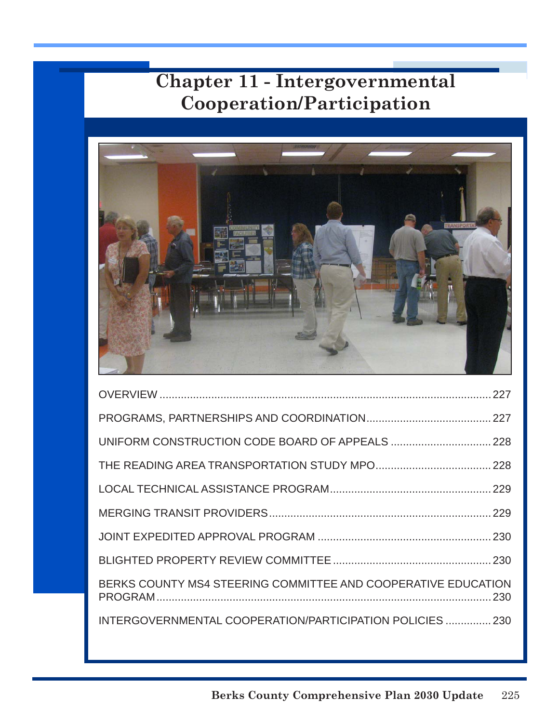

| BERKS COUNTY MS4 STEERING COMMITTEE AND COOPERATIVE EDUCATION |  |
|---------------------------------------------------------------|--|
| INTERGOVERNMENTAL COOPERATION/PARTICIPATION POLICIES  230     |  |
|                                                               |  |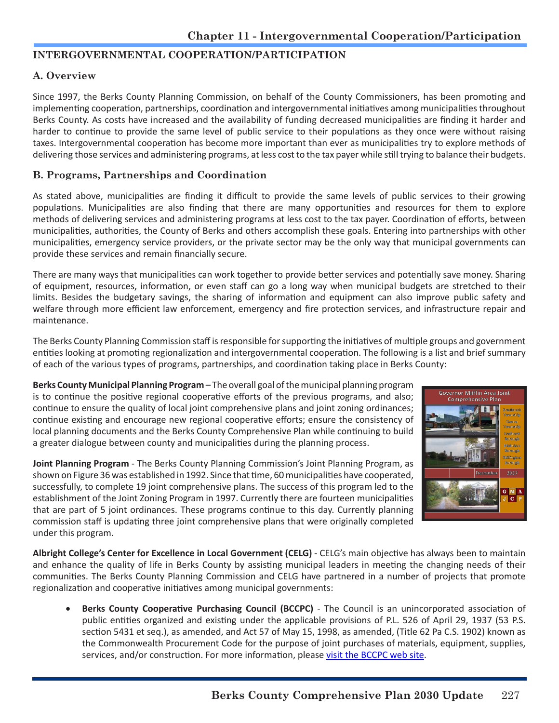#### **INTERGOVERNMENTAL COOPERATION/PARTICIPATION**

#### **A. Overview**

Since 1997, the Berks County Planning Commission, on behalf of the County Commissioners, has been promoting and implementing cooperation, partnerships, coordination and intergovernmental initiatives among municipalities throughout Berks County. As costs have increased and the availability of funding decreased municipalities are finding it harder and harder to continue to provide the same level of public service to their populations as they once were without raising taxes. Intergovernmental cooperation has become more important than ever as municipalities try to explore methods of delivering those services and administering programs, at less cost to the tax payer while still trying to balance their budgets.

#### **B. Programs, Partnerships and Coordination**

As stated above, municipalities are finding it difficult to provide the same levels of public services to their growing populations. Municipalities are also finding that there are many opportunities and resources for them to explore methods of delivering services and administering programs at less cost to the tax payer. Coordination of efforts, between municipalities, authorities, the County of Berks and others accomplish these goals. Entering into partnerships with other municipalities, emergency service providers, or the private sector may be the only way that municipal governments can provide these services and remain financially secure.

There are many ways that municipalities can work together to provide better services and potentially save money. Sharing of equipment, resources, information, or even staff can go a long way when municipal budgets are stretched to their limits. Besides the budgetary savings, the sharing of information and equipment can also improve public safety and welfare through more efficient law enforcement, emergency and fire protection services, and infrastructure repair and maintenance.

The Berks County Planning Commission staff is responsible for supporting the initiatives of multiple groups and government entities looking at promoting regionalization and intergovernmental cooperation. The following is a list and brief summary of each of the various types of programs, partnerships, and coordination taking place in Berks County:

**Berks County Municipal Planning Program** – The overall goal of the municipal planning program is to continue the positive regional cooperative efforts of the previous programs, and also; continue to ensure the quality of local joint comprehensive plans and joint zoning ordinances; continue existing and encourage new regional cooperative efforts; ensure the consistency of local planning documents and the Berks County Comprehensive Plan while continuing to build a greater dialogue between county and municipalities during the planning process.

**Joint Planning Program** - The Berks County Planning Commission's Joint Planning Program, as shown on Figure 36 was established in 1992. Since that time, 60 municipalities have cooperated, successfully, to complete 19 joint comprehensive plans. The success of this program led to the establishment of the Joint Zoning Program in 1997. Currently there are fourteen municipalities that are part of 5 joint ordinances. These programs continue to this day. Currently planning commission staff is updating three joint comprehensive plans that were originally completed under this program.



**Albright College's Center for Excellence in Local Government (CELG)** - CELG's main objective has always been to maintain and enhance the quality of life in Berks County by assisting municipal leaders in meeting the changing needs of their communities. The Berks County Planning Commission and CELG have partnered in a number of projects that promote regionalization and cooperative initiatives among municipal governments:

**Berks County Cooperative Purchasing Council (BCCPC)** - The Council is an unincorporated association of public entities organized and existing under the applicable provisions of P.L. 526 of April 29, 1937 (53 P.S. section 5431 et seq.), as amended, and Act 57 of May 15, 1998, as amended, (Title 62 Pa C.S. 1902) known as the Commonwealth Procurement Code for the purpose of joint purchases of materials, equipment, supplies, services, and/or construction. For more information, please [visit the BCCPC web site.](https://www.albright.edu/about-albright/offices-departments/center-for-excellence-in-local-government/)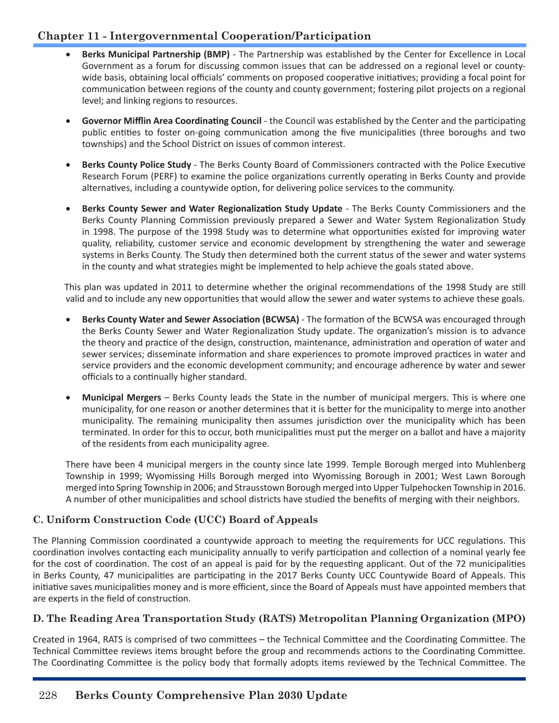- Berks Municipal Partnership (BMP) The Partnership was established by the Center for Excellence in Local Government as a forum for discussing common issues that can be addressed on a regional level or countywide basis, obtaining local officials' comments on proposed cooperative initiatives; providing a focal point for communication between regions of the county and county government; fostering pilot projects on a regional level; and linking regions to resources.
- • **Governor Mifflin Area Coordinating Council**  the Council was established by the Center and the participating public entities to foster on-going communication among the five municipalities (three boroughs and two townships) and the School District on issues of common interest.
- **Berks County Police Study The Berks County Board of Commissioners contracted with the Police Executive** Research Forum (PERF) to examine the police organizations currently operating in Berks County and provide alternatives, including a countywide option, for delivering police services to the community.
- **Berks County Sewer and Water Regionalization Study Update The Berks County Commissioners and the** Berks County Planning Commission previously prepared a Sewer and Water System Regionalization Study in 1998. The purpose of the 1998 Study was to determine what opportunities existed for improving water quality, reliability, customer service and economic development by strengthening the water and sewerage systems in Berks County. The Study then determined both the current status of the sewer and water systems in the county and what strategies might be implemented to help achieve the goals stated above.

This plan was updated in 2011 to determine whether the original recommendations of the 1998 Study are still valid and to include any new opportunities that would allow the sewer and water systems to achieve these goals.

- **Berks County Water and Sewer Association (BCWSA)** The formation of the BCWSA was encouraged through the Berks County Sewer and Water Regionalization Study update. The organization's mission is to advance the theory and practice of the design, construction, maintenance, administration and operation of water and sewer services; disseminate information and share experiences to promote improved practices in water and service providers and the economic development community; and encourage adherence by water and sewer officials to a continually higher standard.
- **Municipal Mergers** Berks County leads the State in the number of municipal mergers. This is where one municipality, for one reason or another determines that it is better for the municipality to merge into another municipality. The remaining municipality then assumes jurisdiction over the municipality which has been terminated. In order for this to occur, both municipalities must put the merger on a ballot and have a majority of the residents from each municipality agree.

There have been 4 municipal mergers in the county since late 1999. Temple Borough merged into Muhlenberg Township in 1999; Wyomissing Hills Borough merged into Wyomissing Borough in 2001; West Lawn Borough merged into Spring Township in 2006; and Strausstown Borough merged into Upper Tulpehocken Township in 2016. A number of other municipalities and school districts have studied the benefits of merging with their neighbors.

## **C. Uniform Construction Code (UCC) Board of Appeals**

The Planning Commission coordinated a countywide approach to meeting the requirements for UCC regulations. This coordination involves contacting each municipality annually to verify participation and collection of a nominal yearly fee for the cost of coordination. The cost of an appeal is paid for by the requesting applicant. Out of the 72 municipalities in Berks County, 47 municipalities are participating in the 2017 Berks County UCC Countywide Board of Appeals. This initiative saves municipalities money and is more efficient, since the Board of Appeals must have appointed members that are experts in the field of construction.

## **D. The Reading Area Transportation Study (RATS) Metropolitan Planning Organization (MPO)**

Created in 1964, RATS is comprised of two committees – the Technical Committee and the Coordinating Committee. The Technical Committee reviews items brought before the group and recommends actions to the Coordinating Committee. The Coordinating Committee is the policy body that formally adopts items reviewed by the Technical Committee. The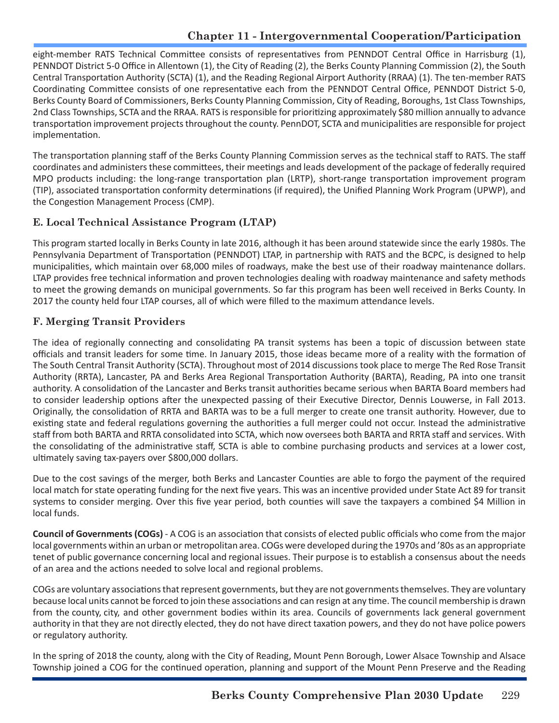eight-member RATS Technical Committee consists of representatives from PENNDOT Central Office in Harrisburg (1), PENNDOT District 5-0 Office in Allentown (1), the City of Reading (2), the Berks County Planning Commission (2), the South Central Transportation Authority (SCTA) (1), and the Reading Regional Airport Authority (RRAA) (1). The ten-member RATS Coordinating Committee consists of one representative each from the PENNDOT Central Office, PENNDOT District 5-0, Berks County Board of Commissioners, Berks County Planning Commission, City of Reading, Boroughs, 1st Class Townships, 2nd Class Townships, SCTA and the RRAA. RATS is responsible for prioritizing approximately \$80 million annually to advance transportation improvement projects throughout the county. PennDOT, SCTA and municipalities are responsible for project implementation.

The transportation planning staff of the Berks County Planning Commission serves as the technical staff to RATS. The staff coordinates and administers these committees, their meetings and leads development of the package of federally required MPO products including: the long-range transportation plan (LRTP), short-range transportation improvement program (TIP), associated transportation conformity determinations (if required), the Unified Planning Work Program (UPWP), and the Congestion Management Process (CMP).

## **E. Local Technical Assistance Program (LTAP)**

This program started locally in Berks County in late 2016, although it has been around statewide since the early 1980s. The Pennsylvania Department of Transportation (PENNDOT) LTAP, in partnership with RATS and the BCPC, is designed to help municipalities, which maintain over 68,000 miles of roadways, make the best use of their roadway maintenance dollars. LTAP provides free technical information and proven technologies dealing with roadway maintenance and safety methods to meet the growing demands on municipal governments. So far this program has been well received in Berks County. In 2017 the county held four LTAP courses, all of which were filled to the maximum attendance levels.

## **F. Merging Transit Providers**

The idea of regionally connecting and consolidating PA transit systems has been a topic of discussion between state officials and transit leaders for some time. In January 2015, those ideas became more of a reality with the formation of The South Central Transit Authority (SCTA). Throughout most of 2014 discussions took place to merge The Red Rose Transit Authority (RRTA), Lancaster, PA and Berks Area Regional Transportation Authority (BARTA), Reading, PA into one transit authority. A consolidation of the Lancaster and Berks transit authorities became serious when BARTA Board members had to consider leadership options after the unexpected passing of their Executive Director, Dennis Louwerse, in Fall 2013. Originally, the consolidation of RRTA and BARTA was to be a full merger to create one transit authority. However, due to existing state and federal regulations governing the authorities a full merger could not occur. Instead the administrative staff from both BARTA and RRTA consolidated into SCTA, which now oversees both BARTA and RRTA staff and services. With the consolidating of the administrative staff, SCTA is able to combine purchasing products and services at a lower cost, ultimately saving tax-payers over \$800,000 dollars.

Due to the cost savings of the merger, both Berks and Lancaster Counties are able to forgo the payment of the required local match for state operating funding for the next five years. This was an incentive provided under State Act 89 for transit systems to consider merging. Over this five year period, both counties will save the taxpayers a combined \$4 Million in local funds.

**Council of Governments (COGs)** - A COG is an association that consists of elected public officials who come from the major local governments within an urban or metropolitan area. COGs were developed during the 1970s and '80s as an appropriate tenet of public governance concerning local and regional issues. Their purpose is to establish a consensus about the needs of an area and the actions needed to solve local and regional problems.

COGs are voluntary associations that represent governments, but they are not governments themselves. They are voluntary because local units cannot be forced to join these associations and can resign at any time. The council membership is drawn from the county, city, and other government bodies within its area. Councils of governments lack general government authority in that they are not directly elected, they do not have direct taxation powers, and they do not have police powers or regulatory authority.

In the spring of 2018 the county, along with the City of Reading, Mount Penn Borough, Lower Alsace Township and Alsace Township joined a COG for the continued operation, planning and support of the Mount Penn Preserve and the Reading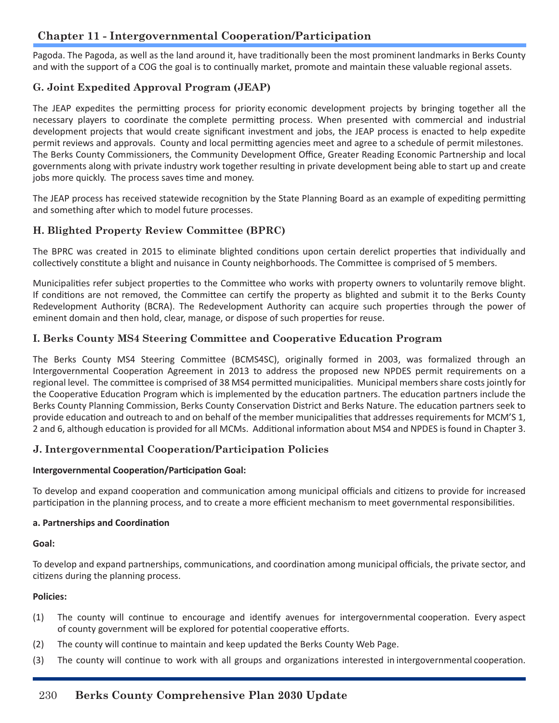Pagoda. The Pagoda, as well as the land around it, have traditionally been the most prominent landmarks in Berks County and with the support of a COG the goal is to continually market, promote and maintain these valuable regional assets.

#### **G. Joint Expedited Approval Program (JEAP)**

The JEAP expedites the permitting process for priority economic development projects by bringing together all the necessary players to coordinate the complete permitting process. When presented with commercial and industrial development projects that would create significant investment and jobs, the JEAP process is enacted to help expedite permit reviews and approvals. County and local permitting agencies meet and agree to a schedule of permit milestones. The Berks County Commissioners, the Community Development Office, Greater Reading Economic Partnership and local governments along with private industry work together resulting in private development being able to start up and create jobs more quickly. The process saves time and money.

The JEAP process has received statewide recognition by the State Planning Board as an example of expediting permitting and something after which to model future processes.

#### **H. Blighted Property Review Committee (BPRC)**

The BPRC was created in 2015 to eliminate blighted conditions upon certain derelict properties that individually and collectively constitute a blight and nuisance in County neighborhoods. The Committee is comprised of 5 members.

Municipalities refer subject properties to the Committee who works with property owners to voluntarily remove blight. If conditions are not removed, the Committee can certify the property as blighted and submit it to the Berks County Redevelopment Authority (BCRA). The Redevelopment Authority can acquire such properties through the power of eminent domain and then hold, clear, manage, or dispose of such properties for reuse.

#### **I. Berks County MS4 Steering Committee and Cooperative Education Program**

The Berks County MS4 Steering Committee (BCMS4SC), originally formed in 2003, was formalized through an Intergovernmental Cooperation Agreement in 2013 to address the proposed new NPDES permit requirements on a regional level. The committee is comprised of 38 MS4 permitted municipalities. Municipal members share costs jointly for the Cooperative Education Program which is implemented by the education partners. The education partners include the Berks County Planning Commission, Berks County Conservation District and Berks Nature. The education partners seek to provide education and outreach to and on behalf of the member municipalities that addresses requirements for MCM'S 1, 2 and 6, although education is provided for all MCMs. Additional information about MS4 and NPDES is found in Chapter 3.

#### **J. Intergovernmental Cooperation/Participation Policies**

#### **Intergovernmental Cooperation/Participation Goal:**

To develop and expand cooperation and communication among municipal officials and citizens to provide for increased participation in the planning process, and to create a more efficient mechanism to meet governmental responsibilities.

#### **a. Partnerships and Coordination**

#### **Goal:**

To develop and expand partnerships, communications, and coordination among municipal officials, the private sector, and citizens during the planning process.

#### **Policies:**

- (1) The county will continue to encourage and identify avenues for intergovernmental cooperation. Every aspect of county government will be explored for potential cooperative efforts.
- (2) The county will continue to maintain and keep updated the Berks County Web Page.
- (3) The county will continue to work with all groups and organizations interested in intergovernmental cooperation.

## 230 **Berks County Comprehensive Plan 2030 Update**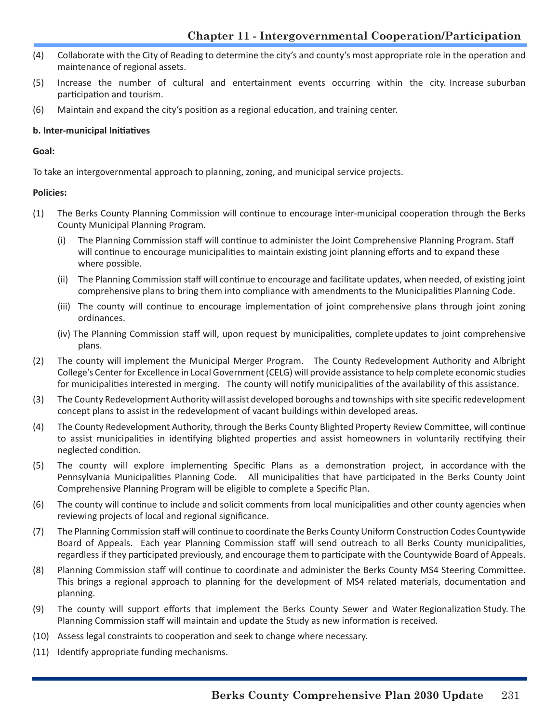- (4) Collaborate with the City of Reading to determine the city's and county's most appropriate role in the operation and maintenance of regional assets.
- (5) Increase the number of cultural and entertainment events occurring within the city. Increase suburban participation and tourism.
- (6) Maintain and expand the city's position as a regional education, and training center.

#### **b. Inter-municipal Initiatives**

**Goal:**

To take an intergovernmental approach to planning, zoning, and municipal service projects.

#### **Policies:**

- (1) The Berks County Planning Commission will continue to encourage inter-municipal cooperation through the Berks County Municipal Planning Program.
	- (i) The Planning Commission staff will continue to administer the Joint Comprehensive Planning Program. Staff will continue to encourage municipalities to maintain existing joint planning efforts and to expand these where possible.
	- (ii) The Planning Commission staff will continue to encourage and facilitate updates, when needed, of existing joint comprehensive plans to bring them into compliance with amendments to the Municipalities Planning Code.
	- (iii) The county will continue to encourage implementation of joint comprehensive plans through joint zoning ordinances.
	- (iv) The Planning Commission staff will, upon request by municipalities, complete updates to joint comprehensive plans.
- (2) The county will implement the Municipal Merger Program. The County Redevelopment Authority and Albright College's Center for Excellence in Local Government (CELG) will provide assistance to help complete economic studies for municipalities interested in merging. The county will notify municipalities of the availability of this assistance.
- (3) The County Redevelopment Authority will assist developed boroughs and townships with site specific redevelopment concept plans to assist in the redevelopment of vacant buildings within developed areas.
- (4) The County Redevelopment Authority, through the Berks County Blighted Property Review Committee, will continue to assist municipalities in identifying blighted properties and assist homeowners in voluntarily rectifying their neglected condition.
- (5) The county will explore implementing Specific Plans as a demonstration project, in accordance with the Pennsylvania Municipalities Planning Code. All municipalities that have participated in the Berks County Joint Comprehensive Planning Program will be eligible to complete a Specific Plan.
- (6) The county will continue to include and solicit comments from local municipalities and other county agencies when reviewing projects of local and regional significance.
- (7) The Planning Commission staff will continue to coordinate the Berks County Uniform Construction Codes Countywide Board of Appeals. Each year Planning Commission staff will send outreach to all Berks County municipalities, regardless if they participated previously, and encourage them to participate with the Countywide Board of Appeals.
- (8) Planning Commission staff will continue to coordinate and administer the Berks County MS4 Steering Committee. This brings a regional approach to planning for the development of MS4 related materials, documentation and planning.
- (9) The county will support efforts that implement the Berks County Sewer and Water Regionalization Study. The Planning Commission staff will maintain and update the Study as new information is received.
- (10) Assess legal constraints to cooperation and seek to change where necessary.
- (11) Identify appropriate funding mechanisms.